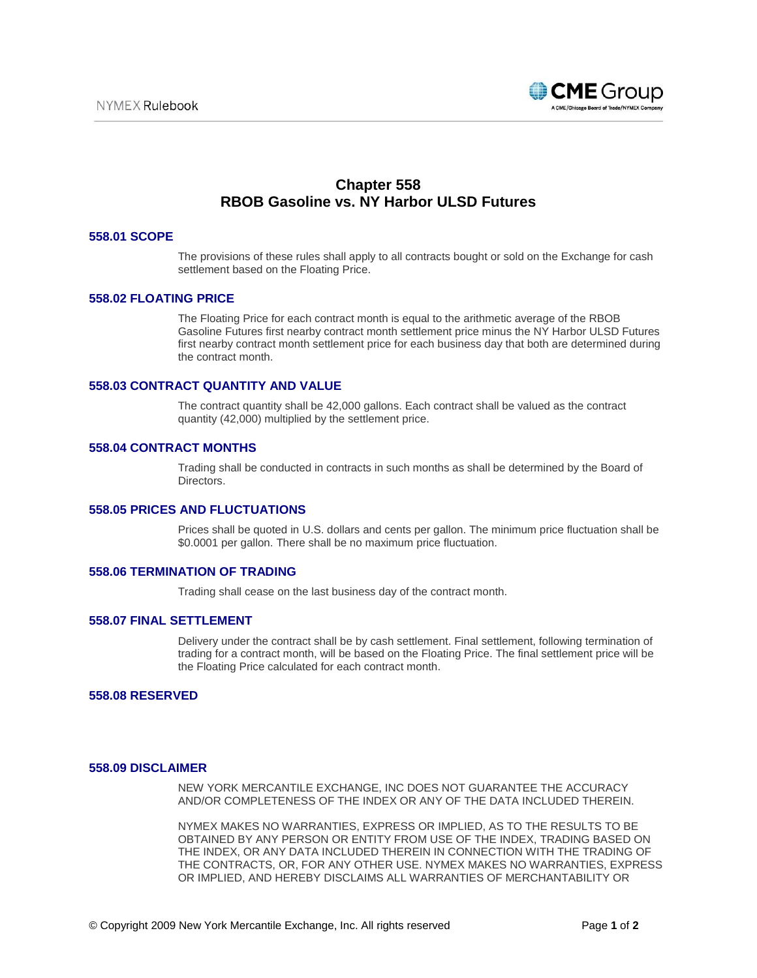

# **Chapter 558 RBOB Gasoline vs. NY Harbor ULSD Futures**

#### **558.01 SCOPE**

The provisions of these rules shall apply to all contracts bought or sold on the Exchange for cash settlement based on the Floating Price.

## **558.02 FLOATING PRICE**

The Floating Price for each contract month is equal to the arithmetic average of the RBOB Gasoline Futures first nearby contract month settlement price minus the NY Harbor ULSD Futures first nearby contract month settlement price for each business day that both are determined during the contract month.

# **558.03 CONTRACT QUANTITY AND VALUE**

The contract quantity shall be 42,000 gallons. Each contract shall be valued as the contract quantity (42,000) multiplied by the settlement price.

## **558.04 CONTRACT MONTHS**

Trading shall be conducted in contracts in such months as shall be determined by the Board of Directors.

## **558.05 PRICES AND FLUCTUATIONS**

Prices shall be quoted in U.S. dollars and cents per gallon. The minimum price fluctuation shall be \$0.0001 per gallon. There shall be no maximum price fluctuation.

### **558.06 TERMINATION OF TRADING**

Trading shall cease on the last business day of the contract month.

#### **558.07 FINAL SETTLEMENT**

Delivery under the contract shall be by cash settlement. Final settlement, following termination of trading for a contract month, will be based on the Floating Price. The final settlement price will be the Floating Price calculated for each contract month.

### **558.08 RESERVED**

## **558.09 DISCLAIMER**

NEW YORK MERCANTILE EXCHANGE, INC DOES NOT GUARANTEE THE ACCURACY AND/OR COMPLETENESS OF THE INDEX OR ANY OF THE DATA INCLUDED THEREIN.

NYMEX MAKES NO WARRANTIES, EXPRESS OR IMPLIED, AS TO THE RESULTS TO BE OBTAINED BY ANY PERSON OR ENTITY FROM USE OF THE INDEX, TRADING BASED ON THE INDEX, OR ANY DATA INCLUDED THEREIN IN CONNECTION WITH THE TRADING OF THE CONTRACTS, OR, FOR ANY OTHER USE. NYMEX MAKES NO WARRANTIES, EXPRESS OR IMPLIED, AND HEREBY DISCLAIMS ALL WARRANTIES OF MERCHANTABILITY OR